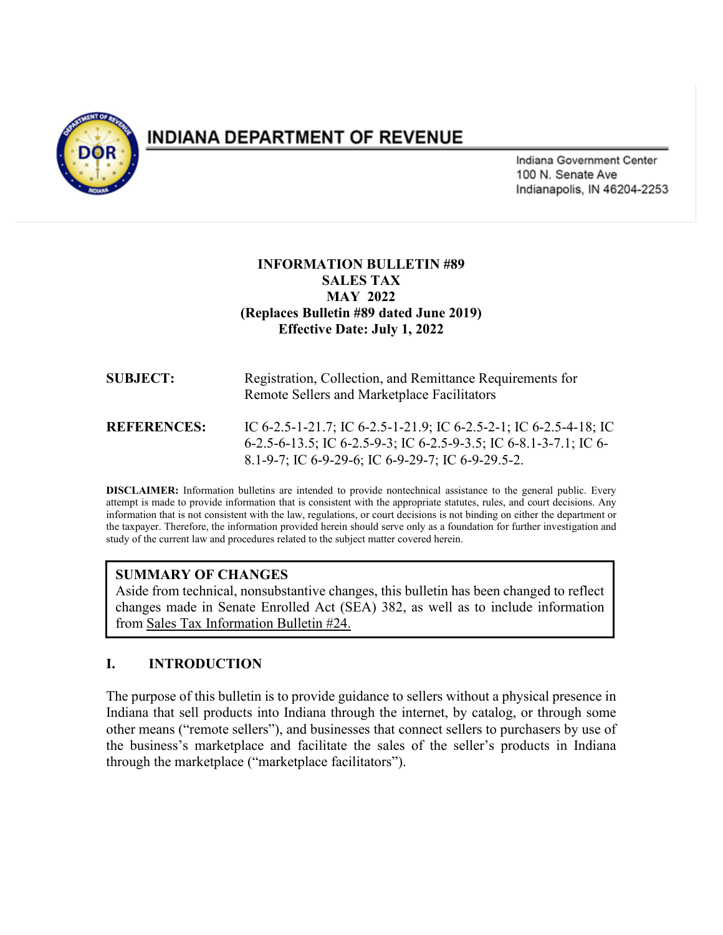

# INDIANA DEPARTMENT OF REVENUE

Indiana Government Center 100 N. Senate Ave Indianapolis, IN 46204-2253

#### **INFORMATION BULLETIN #89 SALES TAX MAY 2022 (Replaces Bulletin #89 dated June 2019) Effective Date: July 1, 2022**

| <b>SUBJECT:</b>    | Registration, Collection, and Remittance Requirements for<br>Remote Sellers and Marketplace Facilitators                                                                                    |
|--------------------|---------------------------------------------------------------------------------------------------------------------------------------------------------------------------------------------|
| <b>REFERENCES:</b> | IC 6-2.5-1-21.7; IC 6-2.5-1-21.9; IC 6-2.5-2-1; IC 6-2.5-4-18; IC<br>6-2.5-6-13.5; IC 6-2.5-9-3; IC 6-2.5-9-3.5; IC 6-8.1-3-7.1; IC 6-<br>8.1-9-7; IC 6-9-29-6; IC 6-9-29-7; IC 6-9-29.5-2. |

**DISCLAIMER:** Information bulletins are intended to provide nontechnical assistance to the general public. Every attempt is made to provide information that is consistent with the appropriate statutes, rules, and court decisions. Any information that is not consistent with the law, regulations, or court decisions is not binding on either the department or the taxpayer. Therefore, the information provided herein should serve only as a foundation for further investigation and study of the current law and procedures related to the subject matter covered herein.

### **SUMMARY OF CHANGES**

Aside from technical, nonsubstantive changes, this bulletin has been changed to reflect changes made in Senate Enrolled Act (SEA) 382, as well as to include information from Sales Tax Information Bulletin #24.

# **I. INTRODUCTION**

The purpose of this bulletin is to provide guidance to sellers without a physical presence in Indiana that sell products into Indiana through the internet, by catalog, or through some other means ("remote sellers"), and businesses that connect sellers to purchasers by use of the business's marketplace and facilitate the sales of the seller's products in Indiana through the marketplace ("marketplace facilitators").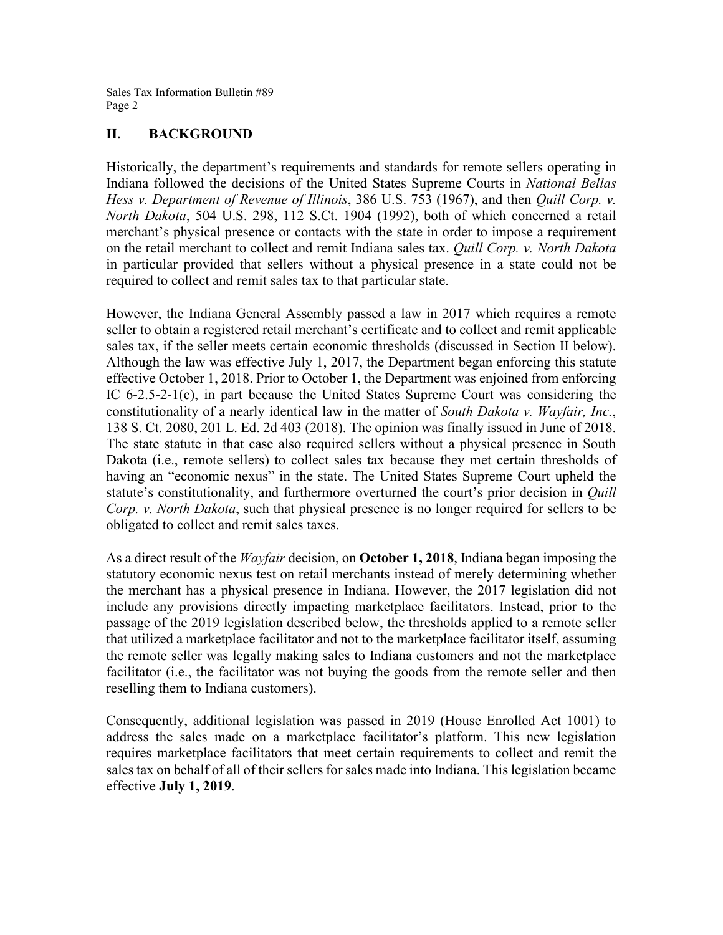#### **II. BACKGROUND**

Historically, the department's requirements and standards for remote sellers operating in Indiana followed the decisions of the United States Supreme Courts in *National Bellas Hess v. Department of Revenue of Illinois*, 386 U.S. 753 (1967), and then *Quill Corp. v. North Dakota*, 504 U.S. 298, 112 S.Ct. 1904 (1992), both of which concerned a retail merchant's physical presence or contacts with the state in order to impose a requirement on the retail merchant to collect and remit Indiana sales tax. *Quill Corp. v. North Dakota* in particular provided that sellers without a physical presence in a state could not be required to collect and remit sales tax to that particular state.

However, the Indiana General Assembly passed a law in 2017 which requires a remote seller to obtain a registered retail merchant's certificate and to collect and remit applicable sales tax, if the seller meets certain economic thresholds (discussed in Section II below). Although the law was effective July 1, 2017, the Department began enforcing this statute effective October 1, 2018. Prior to October 1, the Department was enjoined from enforcing IC 6-2.5-2-1(c), in part because the United States Supreme Court was considering the constitutionality of a nearly identical law in the matter of *South Dakota v. Wayfair, Inc.*, 138 S. Ct. 2080, 201 L. Ed. 2d 403 (2018). The opinion was finally issued in June of 2018. The state statute in that case also required sellers without a physical presence in South Dakota (i.e., remote sellers) to collect sales tax because they met certain thresholds of having an "economic nexus" in the state. The United States Supreme Court upheld the statute's constitutionality, and furthermore overturned the court's prior decision in *Quill Corp. v. North Dakota*, such that physical presence is no longer required for sellers to be obligated to collect and remit sales taxes.

As a direct result of the *Wayfair* decision, on **October 1, 2018**, Indiana began imposing the statutory economic nexus test on retail merchants instead of merely determining whether the merchant has a physical presence in Indiana. However, the 2017 legislation did not include any provisions directly impacting marketplace facilitators. Instead, prior to the passage of the 2019 legislation described below, the thresholds applied to a remote seller that utilized a marketplace facilitator and not to the marketplace facilitator itself, assuming the remote seller was legally making sales to Indiana customers and not the marketplace facilitator (i.e., the facilitator was not buying the goods from the remote seller and then reselling them to Indiana customers).

Consequently, additional legislation was passed in 2019 (House Enrolled Act 1001) to address the sales made on a marketplace facilitator's platform. This new legislation requires marketplace facilitators that meet certain requirements to collect and remit the sales tax on behalf of all of their sellers for sales made into Indiana. This legislation became effective **July 1, 2019**.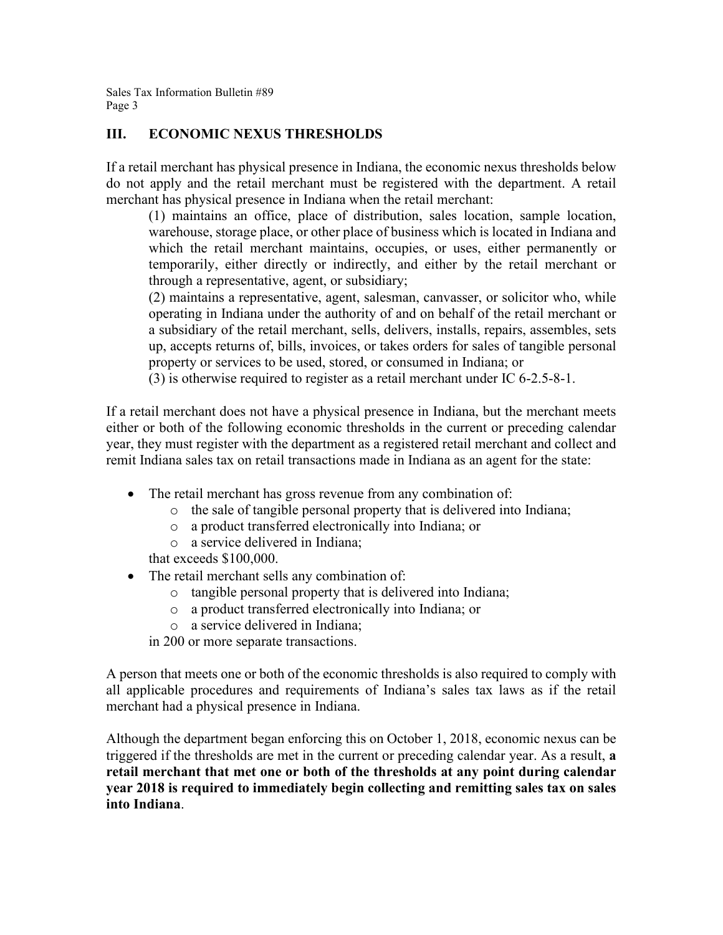### **III. ECONOMIC NEXUS THRESHOLDS**

If a retail merchant has physical presence in Indiana, the economic nexus thresholds below do not apply and the retail merchant must be registered with the department. A retail merchant has physical presence in Indiana when the retail merchant:

(1) maintains an office, place of distribution, sales location, sample location, warehouse, storage place, or other place of business which is located in Indiana and which the retail merchant maintains, occupies, or uses, either permanently or temporarily, either directly or indirectly, and either by the retail merchant or through a representative, agent, or subsidiary;

(2) maintains a representative, agent, salesman, canvasser, or solicitor who, while operating in Indiana under the authority of and on behalf of the retail merchant or a subsidiary of the retail merchant, sells, delivers, installs, repairs, assembles, sets up, accepts returns of, bills, invoices, or takes orders for sales of tangible personal property or services to be used, stored, or consumed in Indiana; or

(3) is otherwise required to register as a retail merchant under IC 6-2.5-8-1.

If a retail merchant does not have a physical presence in Indiana, but the merchant meets either or both of the following economic thresholds in the current or preceding calendar year, they must register with the department as a registered retail merchant and collect and remit Indiana sales tax on retail transactions made in Indiana as an agent for the state:

- The retail merchant has gross revenue from any combination of:
	- o the sale of tangible personal property that is delivered into Indiana;
	- o a product transferred electronically into Indiana; or
	- o a service delivered in Indiana;

that exceeds \$100,000.

- The retail merchant sells any combination of:
	- o tangible personal property that is delivered into Indiana;
	- o a product transferred electronically into Indiana; or
	- o a service delivered in Indiana;

in 200 or more separate transactions.

A person that meets one or both of the economic thresholds is also required to comply with all applicable procedures and requirements of Indiana's sales tax laws as if the retail merchant had a physical presence in Indiana.

Although the department began enforcing this on October 1, 2018, economic nexus can be triggered if the thresholds are met in the current or preceding calendar year. As a result, **a retail merchant that met one or both of the thresholds at any point during calendar year 2018 is required to immediately begin collecting and remitting sales tax on sales into Indiana**.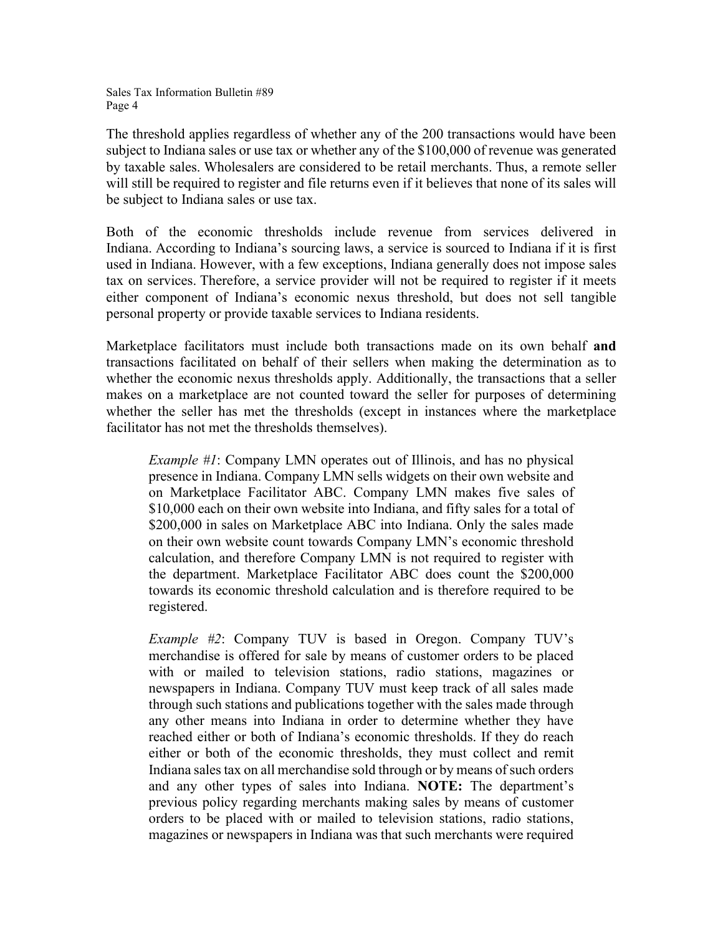The threshold applies regardless of whether any of the 200 transactions would have been subject to Indiana sales or use tax or whether any of the \$100,000 of revenue was generated by taxable sales. Wholesalers are considered to be retail merchants. Thus, a remote seller will still be required to register and file returns even if it believes that none of its sales will be subject to Indiana sales or use tax.

Both of the economic thresholds include revenue from services delivered in Indiana. According to Indiana's sourcing laws, a service is sourced to Indiana if it is first used in Indiana. However, with a few exceptions, Indiana generally does not impose sales tax on services. Therefore, a service provider will not be required to register if it meets either component of Indiana's economic nexus threshold, but does not sell tangible personal property or provide taxable services to Indiana residents.

Marketplace facilitators must include both transactions made on its own behalf **and** transactions facilitated on behalf of their sellers when making the determination as to whether the economic nexus thresholds apply. Additionally, the transactions that a seller makes on a marketplace are not counted toward the seller for purposes of determining whether the seller has met the thresholds (except in instances where the marketplace facilitator has not met the thresholds themselves).

*Example #1*: Company LMN operates out of Illinois, and has no physical presence in Indiana. Company LMN sells widgets on their own website and on Marketplace Facilitator ABC. Company LMN makes five sales of \$10,000 each on their own website into Indiana, and fifty sales for a total of \$200,000 in sales on Marketplace ABC into Indiana. Only the sales made on their own website count towards Company LMN's economic threshold calculation, and therefore Company LMN is not required to register with the department. Marketplace Facilitator ABC does count the \$200,000 towards its economic threshold calculation and is therefore required to be registered.

*Example #2*: Company TUV is based in Oregon. Company TUV's merchandise is offered for sale by means of customer orders to be placed with or mailed to television stations, radio stations, magazines or newspapers in Indiana. Company TUV must keep track of all sales made through such stations and publications together with the sales made through any other means into Indiana in order to determine whether they have reached either or both of Indiana's economic thresholds. If they do reach either or both of the economic thresholds, they must collect and remit Indiana sales tax on all merchandise sold through or by means of such orders and any other types of sales into Indiana. **NOTE:** The department's previous policy regarding merchants making sales by means of customer orders to be placed with or mailed to television stations, radio stations, magazines or newspapers in Indiana was that such merchants were required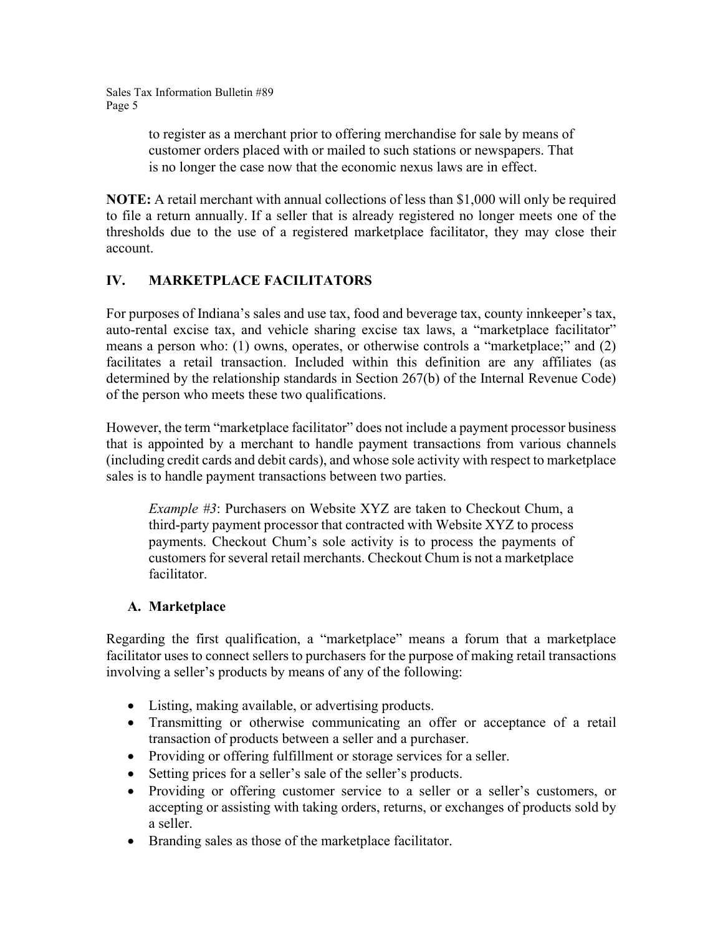> to register as a merchant prior to offering merchandise for sale by means of customer orders placed with or mailed to such stations or newspapers. That is no longer the case now that the economic nexus laws are in effect.

**NOTE:** A retail merchant with annual collections of less than \$1,000 will only be required to file a return annually. If a seller that is already registered no longer meets one of the thresholds due to the use of a registered marketplace facilitator, they may close their account.

# **IV. MARKETPLACE FACILITATORS**

For purposes of Indiana's sales and use tax, food and beverage tax, county innkeeper's tax, auto-rental excise tax, and vehicle sharing excise tax laws, a "marketplace facilitator" means a person who: (1) owns, operates, or otherwise controls a "marketplace;" and (2) facilitates a retail transaction. Included within this definition are any affiliates (as determined by the relationship standards in Section 267(b) of the Internal Revenue Code) of the person who meets these two qualifications.

However, the term "marketplace facilitator" does not include a payment processor business that is appointed by a merchant to handle payment transactions from various channels (including credit cards and debit cards), and whose sole activity with respect to marketplace sales is to handle payment transactions between two parties.

*Example #3*: Purchasers on Website XYZ are taken to Checkout Chum, a third-party payment processor that contracted with Website XYZ to process payments. Checkout Chum's sole activity is to process the payments of customers for several retail merchants. Checkout Chum is not a marketplace facilitator.

### **A. Marketplace**

Regarding the first qualification, a "marketplace" means a forum that a marketplace facilitator uses to connect sellers to purchasers for the purpose of making retail transactions involving a seller's products by means of any of the following:

- Listing, making available, or advertising products.
- Transmitting or otherwise communicating an offer or acceptance of a retail transaction of products between a seller and a purchaser.
- Providing or offering fulfillment or storage services for a seller.
- Setting prices for a seller's sale of the seller's products.
- Providing or offering customer service to a seller or a seller's customers, or accepting or assisting with taking orders, returns, or exchanges of products sold by a seller.
- Branding sales as those of the marketplace facilitator.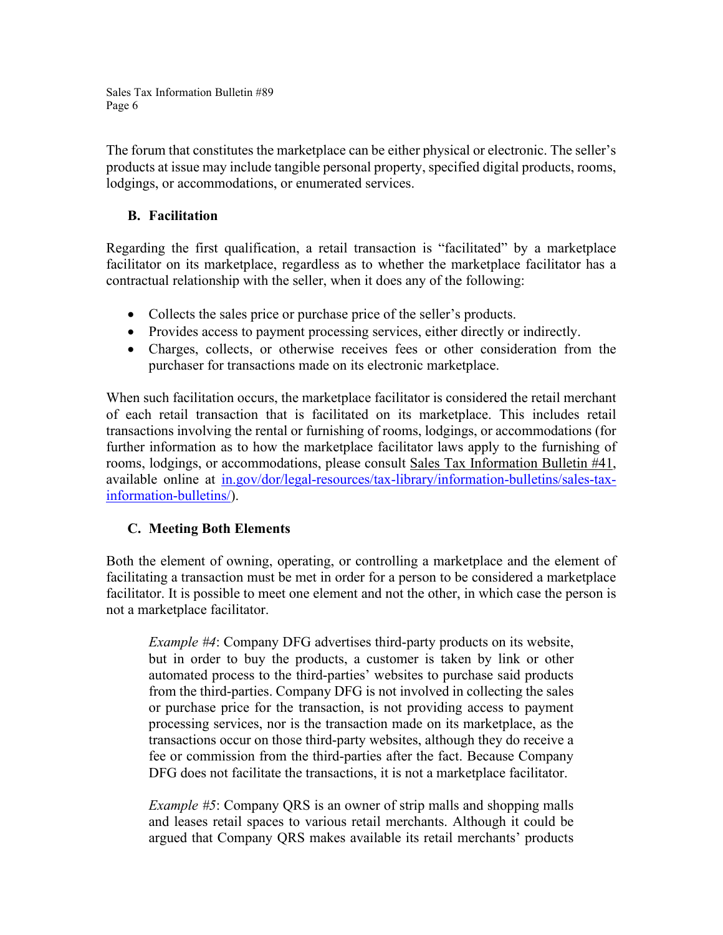The forum that constitutes the marketplace can be either physical or electronic. The seller's products at issue may include tangible personal property, specified digital products, rooms, lodgings, or accommodations, or enumerated services.

### **B. Facilitation**

Regarding the first qualification, a retail transaction is "facilitated" by a marketplace facilitator on its marketplace, regardless as to whether the marketplace facilitator has a contractual relationship with the seller, when it does any of the following:

- Collects the sales price or purchase price of the seller's products.
- Provides access to payment processing services, either directly or indirectly.
- Charges, collects, or otherwise receives fees or other consideration from the purchaser for transactions made on its electronic marketplace.

When such facilitation occurs, the marketplace facilitator is considered the retail merchant of each retail transaction that is facilitated on its marketplace. This includes retail transactions involving the rental or furnishing of rooms, lodgings, or accommodations (for further information as to how the marketplace facilitator laws apply to the furnishing of rooms, lodgings, or accommodations, please consult Sales Tax Information Bulletin #41, available online at [in.gov/dor/legal-resources/tax-library/information-bulletins/sales-tax](https://www.in.gov/dor/legal-resources/tax-library/information-bulletins/sales-tax-information-bulletins/)[information-bulletins/\)](https://www.in.gov/dor/legal-resources/tax-library/information-bulletins/sales-tax-information-bulletins/).

### **C. Meeting Both Elements**

Both the element of owning, operating, or controlling a marketplace and the element of facilitating a transaction must be met in order for a person to be considered a marketplace facilitator. It is possible to meet one element and not the other, in which case the person is not a marketplace facilitator.

*Example #4*: Company DFG advertises third-party products on its website, but in order to buy the products, a customer is taken by link or other automated process to the third-parties' websites to purchase said products from the third-parties. Company DFG is not involved in collecting the sales or purchase price for the transaction, is not providing access to payment processing services, nor is the transaction made on its marketplace, as the transactions occur on those third-party websites, although they do receive a fee or commission from the third-parties after the fact. Because Company DFG does not facilitate the transactions, it is not a marketplace facilitator.

*Example #5*: Company QRS is an owner of strip malls and shopping malls and leases retail spaces to various retail merchants. Although it could be argued that Company QRS makes available its retail merchants' products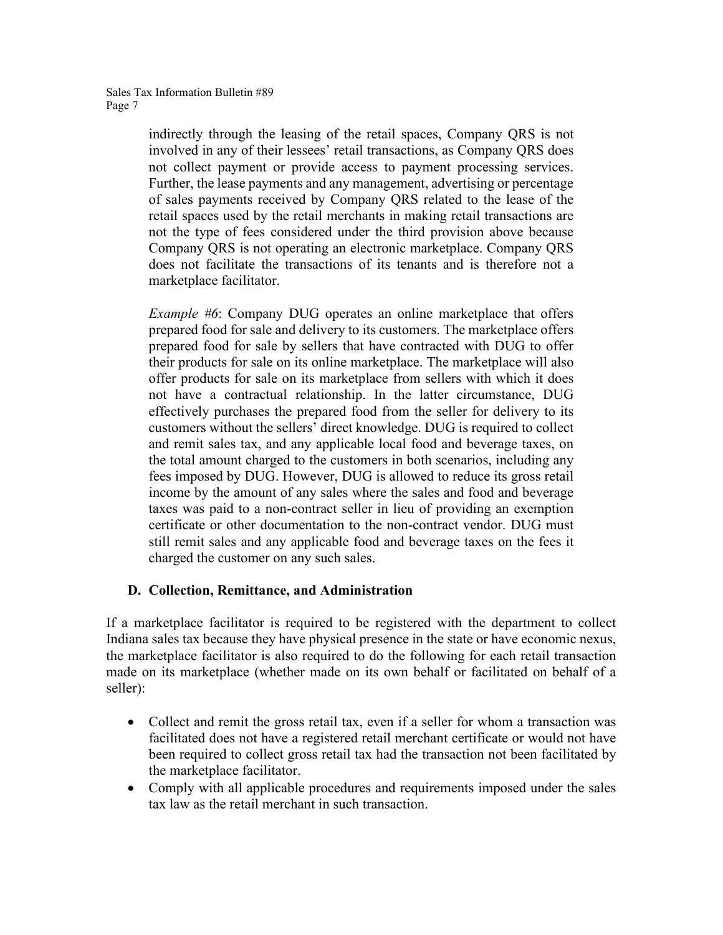indirectly through the leasing of the retail spaces, Company QRS is not involved in any of their lessees' retail transactions, as Company QRS does not collect payment or provide access to payment processing services. Further, the lease payments and any management, advertising or percentage of sales payments received by Company QRS related to the lease of the retail spaces used by the retail merchants in making retail transactions are not the type of fees considered under the third provision above because Company QRS is not operating an electronic marketplace. Company QRS does not facilitate the transactions of its tenants and is therefore not a marketplace facilitator.

*Example #6*: Company DUG operates an online marketplace that offers prepared food for sale and delivery to its customers. The marketplace offers prepared food for sale by sellers that have contracted with DUG to offer their products for sale on its online marketplace. The marketplace will also offer products for sale on its marketplace from sellers with which it does not have a contractual relationship. In the latter circumstance, DUG effectively purchases the prepared food from the seller for delivery to its customers without the sellers' direct knowledge. DUG is required to collect and remit sales tax, and any applicable local food and beverage taxes, on the total amount charged to the customers in both scenarios, including any fees imposed by DUG. However, DUG is allowed to reduce its gross retail income by the amount of any sales where the sales and food and beverage taxes was paid to a non-contract seller in lieu of providing an exemption certificate or other documentation to the non-contract vendor. DUG must still remit sales and any applicable food and beverage taxes on the fees it charged the customer on any such sales.

# **D. Collection, Remittance, and Administration**

If a marketplace facilitator is required to be registered with the department to collect Indiana sales tax because they have physical presence in the state or have economic nexus, the marketplace facilitator is also required to do the following for each retail transaction made on its marketplace (whether made on its own behalf or facilitated on behalf of a seller):

- Collect and remit the gross retail tax, even if a seller for whom a transaction was facilitated does not have a registered retail merchant certificate or would not have been required to collect gross retail tax had the transaction not been facilitated by the marketplace facilitator.
- Comply with all applicable procedures and requirements imposed under the sales tax law as the retail merchant in such transaction.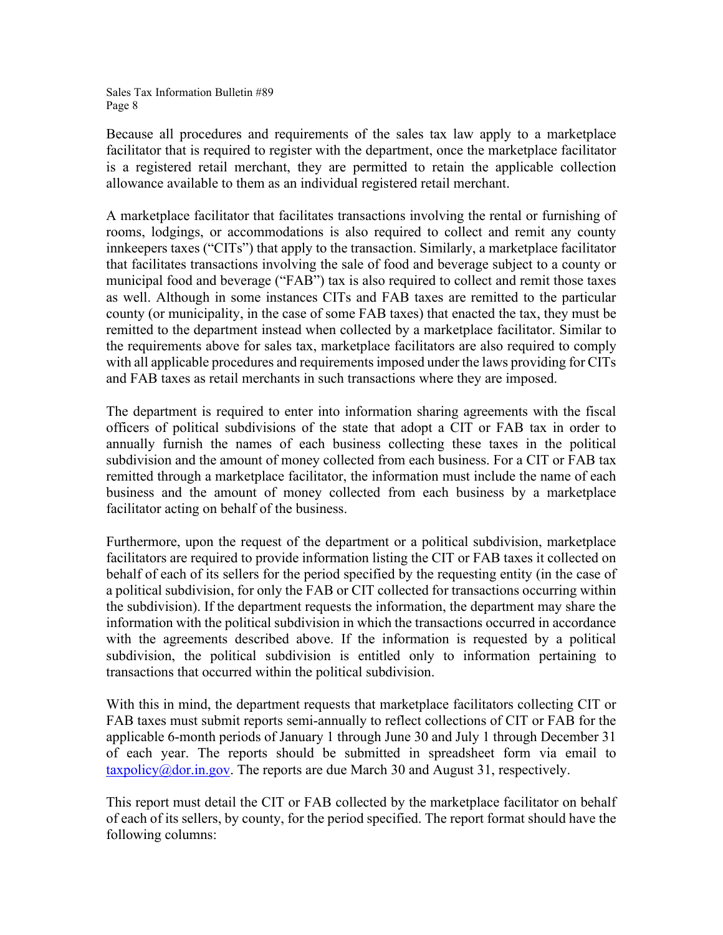Because all procedures and requirements of the sales tax law apply to a marketplace facilitator that is required to register with the department, once the marketplace facilitator is a registered retail merchant, they are permitted to retain the applicable collection allowance available to them as an individual registered retail merchant.

A marketplace facilitator that facilitates transactions involving the rental or furnishing of rooms, lodgings, or accommodations is also required to collect and remit any county innkeepers taxes ("CITs") that apply to the transaction. Similarly, a marketplace facilitator that facilitates transactions involving the sale of food and beverage subject to a county or municipal food and beverage ("FAB") tax is also required to collect and remit those taxes as well. Although in some instances CITs and FAB taxes are remitted to the particular county (or municipality, in the case of some FAB taxes) that enacted the tax, they must be remitted to the department instead when collected by a marketplace facilitator. Similar to the requirements above for sales tax, marketplace facilitators are also required to comply with all applicable procedures and requirements imposed under the laws providing for CITs and FAB taxes as retail merchants in such transactions where they are imposed.

The department is required to enter into information sharing agreements with the fiscal officers of political subdivisions of the state that adopt a CIT or FAB tax in order to annually furnish the names of each business collecting these taxes in the political subdivision and the amount of money collected from each business. For a CIT or FAB tax remitted through a marketplace facilitator, the information must include the name of each business and the amount of money collected from each business by a marketplace facilitator acting on behalf of the business.

Furthermore, upon the request of the department or a political subdivision, marketplace facilitators are required to provide information listing the CIT or FAB taxes it collected on behalf of each of its sellers for the period specified by the requesting entity (in the case of a political subdivision, for only the FAB or CIT collected for transactions occurring within the subdivision). If the department requests the information, the department may share the information with the political subdivision in which the transactions occurred in accordance with the agreements described above. If the information is requested by a political subdivision, the political subdivision is entitled only to information pertaining to transactions that occurred within the political subdivision.

With this in mind, the department requests that marketplace facilitators collecting CIT or FAB taxes must submit reports semi-annually to reflect collections of CIT or FAB for the applicable 6-month periods of January 1 through June 30 and July 1 through December 31 of each year. The reports should be submitted in spreadsheet form via email to  $\frac{\text{taryodic}}{\text{log}(a)}$  dor.in.gov. The reports are due March 30 and August 31, respectively.

This report must detail the CIT or FAB collected by the marketplace facilitator on behalf of each of its sellers, by county, for the period specified. The report format should have the following columns: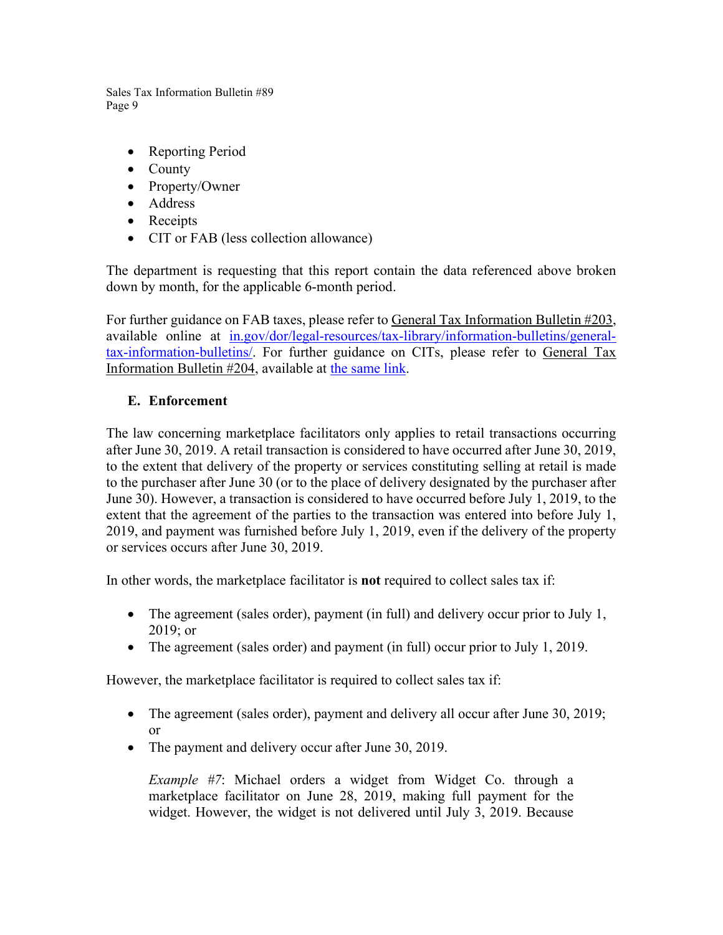- Reporting Period
- County
- Property/Owner
- Address
- Receipts
- CIT or FAB (less collection allowance)

The department is requesting that this report contain the data referenced above broken down by month, for the applicable 6-month period.

For further guidance on FAB taxes, please refer to General Tax Information Bulletin #203, available online at [in.gov/dor/legal-resources/tax-library/information-bulletins/general](https://www.in.gov/dor/legal-resources/tax-library/information-bulletins/general-tax-information-bulletins/)[tax-information-bulletins/.](https://www.in.gov/dor/legal-resources/tax-library/information-bulletins/general-tax-information-bulletins/) For further guidance on CITs, please refer to General Tax Information Bulletin #204, available at [the](http://www.in.gov/dor/6866.htm) same link.

### **E. Enforcement**

The law concerning marketplace facilitators only applies to retail transactions occurring after June 30, 2019. A retail transaction is considered to have occurred after June 30, 2019, to the extent that delivery of the property or services constituting selling at retail is made to the purchaser after June 30 (or to the place of delivery designated by the purchaser after June 30). However, a transaction is considered to have occurred before July 1, 2019, to the extent that the agreement of the parties to the transaction was entered into before July 1, 2019, and payment was furnished before July 1, 2019, even if the delivery of the property or services occurs after June 30, 2019.

In other words, the marketplace facilitator is **not** required to collect sales tax if:

- The agreement (sales order), payment (in full) and delivery occur prior to July 1, 2019; or
- The agreement (sales order) and payment (in full) occur prior to July 1, 2019.

However, the marketplace facilitator is required to collect sales tax if:

- The agreement (sales order), payment and delivery all occur after June 30, 2019; or
- The payment and delivery occur after June 30, 2019.

*Example #7*: Michael orders a widget from Widget Co. through a marketplace facilitator on June 28, 2019, making full payment for the widget. However, the widget is not delivered until July 3, 2019. Because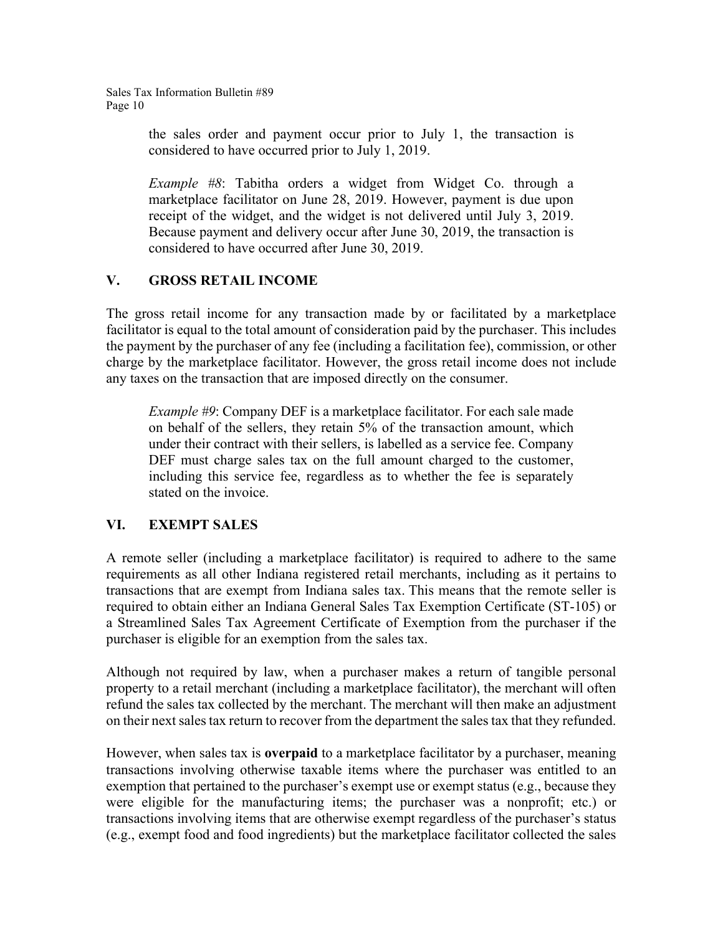> the sales order and payment occur prior to July 1, the transaction is considered to have occurred prior to July 1, 2019.

> *Example #8*: Tabitha orders a widget from Widget Co. through a marketplace facilitator on June 28, 2019. However, payment is due upon receipt of the widget, and the widget is not delivered until July 3, 2019. Because payment and delivery occur after June 30, 2019, the transaction is considered to have occurred after June 30, 2019.

# **V. GROSS RETAIL INCOME**

The gross retail income for any transaction made by or facilitated by a marketplace facilitator is equal to the total amount of consideration paid by the purchaser. This includes the payment by the purchaser of any fee (including a facilitation fee), commission, or other charge by the marketplace facilitator. However, the gross retail income does not include any taxes on the transaction that are imposed directly on the consumer.

*Example #9*: Company DEF is a marketplace facilitator. For each sale made on behalf of the sellers, they retain 5% of the transaction amount, which under their contract with their sellers, is labelled as a service fee. Company DEF must charge sales tax on the full amount charged to the customer, including this service fee, regardless as to whether the fee is separately stated on the invoice.

# **VI. EXEMPT SALES**

A remote seller (including a marketplace facilitator) is required to adhere to the same requirements as all other Indiana registered retail merchants, including as it pertains to transactions that are exempt from Indiana sales tax. This means that the remote seller is required to obtain either an Indiana General Sales Tax Exemption Certificate (ST-105) or a Streamlined Sales Tax Agreement Certificate of Exemption from the purchaser if the purchaser is eligible for an exemption from the sales tax.

Although not required by law, when a purchaser makes a return of tangible personal property to a retail merchant (including a marketplace facilitator), the merchant will often refund the sales tax collected by the merchant. The merchant will then make an adjustment on their next sales tax return to recover from the department the sales tax that they refunded.

However, when sales tax is **overpaid** to a marketplace facilitator by a purchaser, meaning transactions involving otherwise taxable items where the purchaser was entitled to an exemption that pertained to the purchaser's exempt use or exempt status (e.g., because they were eligible for the manufacturing items; the purchaser was a nonprofit; etc.) or transactions involving items that are otherwise exempt regardless of the purchaser's status (e.g., exempt food and food ingredients) but the marketplace facilitator collected the sales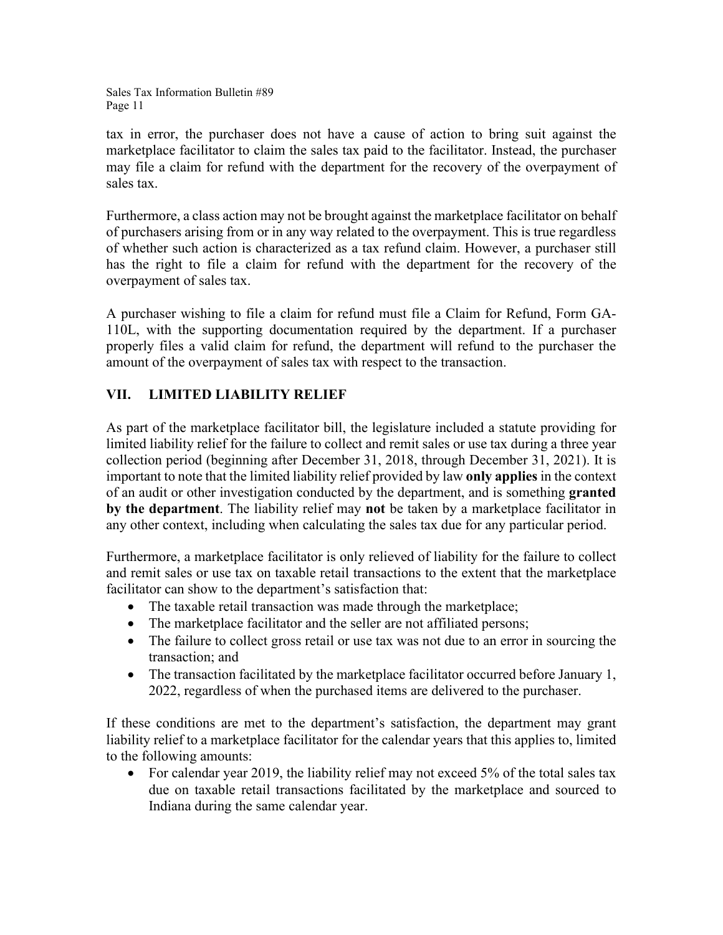tax in error, the purchaser does not have a cause of action to bring suit against the marketplace facilitator to claim the sales tax paid to the facilitator. Instead, the purchaser may file a claim for refund with the department for the recovery of the overpayment of sales tax.

Furthermore, a class action may not be brought against the marketplace facilitator on behalf of purchasers arising from or in any way related to the overpayment. This is true regardless of whether such action is characterized as a tax refund claim. However, a purchaser still has the right to file a claim for refund with the department for the recovery of the overpayment of sales tax.

A purchaser wishing to file a claim for refund must file a Claim for Refund, Form GA-110L, with the supporting documentation required by the department. If a purchaser properly files a valid claim for refund, the department will refund to the purchaser the amount of the overpayment of sales tax with respect to the transaction.

# **VII. LIMITED LIABILITY RELIEF**

As part of the marketplace facilitator bill, the legislature included a statute providing for limited liability relief for the failure to collect and remit sales or use tax during a three year collection period (beginning after December 31, 2018, through December 31, 2021). It is important to note that the limited liability relief provided by law **only applies** in the context of an audit or other investigation conducted by the department, and is something **granted by the department**. The liability relief may **not** be taken by a marketplace facilitator in any other context, including when calculating the sales tax due for any particular period.

Furthermore, a marketplace facilitator is only relieved of liability for the failure to collect and remit sales or use tax on taxable retail transactions to the extent that the marketplace facilitator can show to the department's satisfaction that:

- The taxable retail transaction was made through the marketplace;
- The marketplace facilitator and the seller are not affiliated persons;
- The failure to collect gross retail or use tax was not due to an error in sourcing the transaction; and
- The transaction facilitated by the marketplace facilitator occurred before January 1, 2022, regardless of when the purchased items are delivered to the purchaser.

If these conditions are met to the department's satisfaction, the department may grant liability relief to a marketplace facilitator for the calendar years that this applies to, limited to the following amounts:

• For calendar year 2019, the liability relief may not exceed 5% of the total sales tax due on taxable retail transactions facilitated by the marketplace and sourced to Indiana during the same calendar year.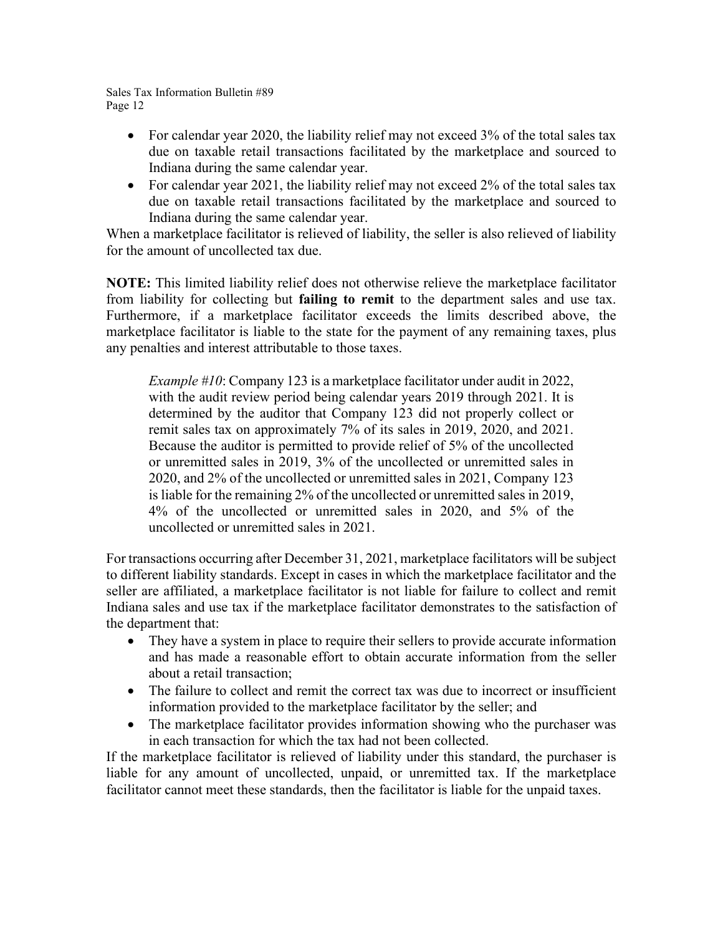- For calendar year 2020, the liability relief may not exceed 3% of the total sales tax due on taxable retail transactions facilitated by the marketplace and sourced to Indiana during the same calendar year.
- For calendar year 2021, the liability relief may not exceed 2% of the total sales tax due on taxable retail transactions facilitated by the marketplace and sourced to Indiana during the same calendar year.

When a marketplace facilitator is relieved of liability, the seller is also relieved of liability for the amount of uncollected tax due.

**NOTE:** This limited liability relief does not otherwise relieve the marketplace facilitator from liability for collecting but **failing to remit** to the department sales and use tax. Furthermore, if a marketplace facilitator exceeds the limits described above, the marketplace facilitator is liable to the state for the payment of any remaining taxes, plus any penalties and interest attributable to those taxes.

*Example #10*: Company 123 is a marketplace facilitator under audit in 2022, with the audit review period being calendar years 2019 through 2021. It is determined by the auditor that Company 123 did not properly collect or remit sales tax on approximately 7% of its sales in 2019, 2020, and 2021. Because the auditor is permitted to provide relief of 5% of the uncollected or unremitted sales in 2019, 3% of the uncollected or unremitted sales in 2020, and 2% of the uncollected or unremitted sales in 2021, Company 123 is liable for the remaining 2% of the uncollected or unremitted sales in 2019, 4% of the uncollected or unremitted sales in 2020, and 5% of the uncollected or unremitted sales in 2021.

For transactions occurring after December 31, 2021, marketplace facilitators will be subject to different liability standards. Except in cases in which the marketplace facilitator and the seller are affiliated, a marketplace facilitator is not liable for failure to collect and remit Indiana sales and use tax if the marketplace facilitator demonstrates to the satisfaction of the department that:

- They have a system in place to require their sellers to provide accurate information and has made a reasonable effort to obtain accurate information from the seller about a retail transaction;
- The failure to collect and remit the correct tax was due to incorrect or insufficient information provided to the marketplace facilitator by the seller; and
- The marketplace facilitator provides information showing who the purchaser was in each transaction for which the tax had not been collected.

If the marketplace facilitator is relieved of liability under this standard, the purchaser is liable for any amount of uncollected, unpaid, or unremitted tax. If the marketplace facilitator cannot meet these standards, then the facilitator is liable for the unpaid taxes.